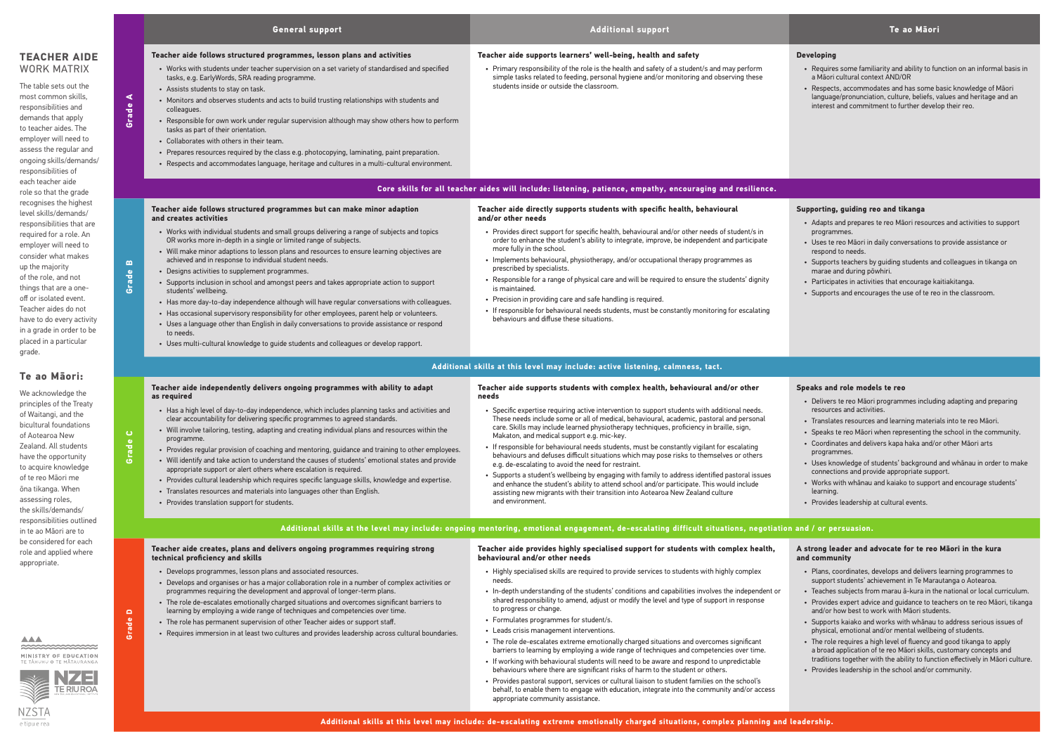#### **Developing**

- Requires some familiarity and ability to function on an informal basis in a Māori cultural context AND/OR
- Respects, accommodates and has some basic knowledge of Māori language/pronunciation, culture, beliefs, values and heritage and an interest and commitment to further develop their reo.

#### **Supporting, guiding reo and tikanga**

- Adapts and prepares te reo Māori resources and activities to support programmes.
- Uses te reo Māori in daily conversations to provide assistance or respond to needs.
- Supports teachers by guiding students and colleagues in tikanga on marae and during pōwhiri.
- Participates in activities that encourage kaitiakitanga.
- Supports and encourages the use of te reo in the classroom.

|                                                                                                                                                                                                                                                                                                                                                                              |                                                | <b>General support</b>                                                                                                                                                                                                                                                                                                                                                                                                                                                                                                                                                                                                                                                                                                                                                                                                                                                                                                                                                                                | <b>Additional support</b>                                                                                                                                                                                                                                                                                                                                                                                                                                                                                                                                                                                                                                                                                                                                                                                                                                                                                                                                                       | Te ao Māori                                                                                                                                                                                                                                                                                                                                                                                                                                                       |  |  |  |  |  |
|------------------------------------------------------------------------------------------------------------------------------------------------------------------------------------------------------------------------------------------------------------------------------------------------------------------------------------------------------------------------------|------------------------------------------------|-------------------------------------------------------------------------------------------------------------------------------------------------------------------------------------------------------------------------------------------------------------------------------------------------------------------------------------------------------------------------------------------------------------------------------------------------------------------------------------------------------------------------------------------------------------------------------------------------------------------------------------------------------------------------------------------------------------------------------------------------------------------------------------------------------------------------------------------------------------------------------------------------------------------------------------------------------------------------------------------------------|---------------------------------------------------------------------------------------------------------------------------------------------------------------------------------------------------------------------------------------------------------------------------------------------------------------------------------------------------------------------------------------------------------------------------------------------------------------------------------------------------------------------------------------------------------------------------------------------------------------------------------------------------------------------------------------------------------------------------------------------------------------------------------------------------------------------------------------------------------------------------------------------------------------------------------------------------------------------------------|-------------------------------------------------------------------------------------------------------------------------------------------------------------------------------------------------------------------------------------------------------------------------------------------------------------------------------------------------------------------------------------------------------------------------------------------------------------------|--|--|--|--|--|
| <b>TEACHER AIDE</b><br><b>WORK MATRIX</b><br>The table sets out the<br>most common skills,<br>responsibilities and<br>demands that apply<br>to teacher aides. The<br>employer will need to<br>assess the regular and<br>ongoing skills/demands/<br>responsibilities of                                                                                                       | $\blacktriangleleft$<br>Grade                  | Teacher aide follows structured programmes, lesson plans and activities<br>• Works with students under teacher supervision on a set variety of standardised and specified<br>tasks, e.g. EarlyWords, SRA reading programme.<br>• Assists students to stay on task.<br>• Monitors and observes students and acts to build trusting relationships with students and<br>colleagues.<br>• Responsible for own work under regular supervision although may show others how to perform<br>tasks as part of their orientation.<br>• Collaborates with others in their team.<br>• Prepares resources required by the class e.g. photocopying, laminating, paint preparation.<br>• Respects and accommodates language, heritage and cultures in a multi-cultural environment.                                                                                                                                                                                                                                  | Teacher aide supports learners' well-being, health and safety<br>• Primary responsibility of the role is the health and safety of a student/s and may perform<br>simple tasks related to feeding, personal hygiene and/or monitoring and observing these<br>students inside or outside the classroom.                                                                                                                                                                                                                                                                                                                                                                                                                                                                                                                                                                                                                                                                           | <b>Developing</b><br>• Requires some familiarity and ability to fu<br>a Mãori cultural context AND/OR<br>• Respects, accommodates and has some b<br>language/pronunciation, culture, beliefs, v<br>interest and commitment to further devel                                                                                                                                                                                                                       |  |  |  |  |  |
| each teacher aide<br>role so that the grade                                                                                                                                                                                                                                                                                                                                  |                                                | Core skills for all teacher aides will include: listening, patience, empathy, encouraging and resilience.                                                                                                                                                                                                                                                                                                                                                                                                                                                                                                                                                                                                                                                                                                                                                                                                                                                                                             |                                                                                                                                                                                                                                                                                                                                                                                                                                                                                                                                                                                                                                                                                                                                                                                                                                                                                                                                                                                 |                                                                                                                                                                                                                                                                                                                                                                                                                                                                   |  |  |  |  |  |
| recognises the highest<br>level skills/demands/<br>responsibilities that are<br>required for a role. An<br>employer will need to<br>consider what makes<br>up the majority<br>of the role, and not<br>things that are a one-<br>off or isolated event.<br>Teacher aides do not<br>have to do every activity<br>in a grade in order to be<br>placed in a particular<br>grade. | $\boldsymbol{\underline{\mathsf{m}}}$<br>Grade | Teacher aide follows structured programmes but can make minor adaption<br>and creates activities<br>• Works with individual students and small groups delivering a range of subjects and topics<br>OR works more in-depth in a single or limited range of subjects.<br>• Will make minor adaptions to lesson plans and resources to ensure learning objectives are<br>achieved and in response to individual student needs.<br>• Designs activities to supplement programmes.<br>• Supports inclusion in school and amongst peers and takes appropriate action to support<br>students' wellbeing.<br>• Has more day-to-day independence although will have regular conversations with colleagues.<br>• Has occasional supervisory responsibility for other employees, parent help or volunteers.<br>• Uses a language other than English in daily conversations to provide assistance or respond<br>to needs.<br>. Uses multi-cultural knowledge to guide students and colleagues or develop rapport. | Teacher aide directly supports students with specific health, behavioural<br>and/or other needs<br>• Provides direct support for specific health, behavioural and/or other needs of student/s in<br>order to enhance the student's ability to integrate, improve, be independent and participate<br>more fully in the school.<br>• Implements behavioural, physiotherapy, and/or occupational therapy programmes as<br>prescribed by specialists.<br>• Responsible for a range of physical care and will be required to ensure the students' dignity<br>is maintained.<br>• Precision in providing care and safe handling is required.<br>• If responsible for behavioural needs students, must be constantly monitoring for escalating<br>behaviours and diffuse these situations.                                                                                                                                                                                             | Supporting, guiding reo and tikanga<br>• Adapts and prepares te reo Māori resourc<br>programmes.<br>· Uses te reo Māori in daily conversations to<br>respond to needs.<br>• Supports teachers by guiding students an<br>marae and during pōwhiri.<br>• Participates in activities that encourage ka<br>• Supports and encourages the use of te red                                                                                                                |  |  |  |  |  |
| Te ao Māori:                                                                                                                                                                                                                                                                                                                                                                 |                                                | Additional skills at this level may include: active listening, calmness, tact.                                                                                                                                                                                                                                                                                                                                                                                                                                                                                                                                                                                                                                                                                                                                                                                                                                                                                                                        |                                                                                                                                                                                                                                                                                                                                                                                                                                                                                                                                                                                                                                                                                                                                                                                                                                                                                                                                                                                 |                                                                                                                                                                                                                                                                                                                                                                                                                                                                   |  |  |  |  |  |
| We acknowledge the<br>principles of the Treaty<br>of Waitangi, and the<br>bicultural foundations<br>of Aotearoa New<br>Zealand, All students<br>have the opportunity<br>to acquire knowledge<br>of te reo Māori me<br>ōna tikanga. When<br>assessing roles,<br>the skills/demands/                                                                                           | $\bullet$<br>Grade                             | Teacher aide independently delivers ongoing programmes with ability to adapt<br>as required<br>• Has a high level of day-to-day independence, which includes planning tasks and activities and<br>clear accountability for delivering specific programmes to agreed standards.<br>• Will involve tailoring, testing, adapting and creating individual plans and resources within the<br>programme.<br>• Provides regular provision of coaching and mentoring, guidance and training to other employees.<br>• Will identify and take action to understand the causes of students' emotional states and provide<br>appropriate support or alert others where escalation is required.<br>• Provides cultural leadership which requires specific language skills, knowledge and expertise.<br>• Translates resources and materials into languages other than English.<br>• Provides translation support for students.                                                                                     | Teacher aide supports students with complex health, behavioural and/or other<br>needs<br>. Specific expertise requiring active intervention to support students with additional needs.<br>These needs include some or all of medical, behavioural, academic, pastoral and personal<br>care. Skills may include learned physiotherapy techniques, proficiency in braille, sign,<br>Makaton, and medical support e.g. mic-key.<br>If responsible for behavioural needs students, must be constantly vigilant for escalating<br>behaviours and defuses difficult situations which may pose risks to themselves or others<br>e.g. de-escalating to avoid the need for restraint.<br>Supports a student's wellbeing by engaging with family to address identified pastoral issues<br>and enhance the student's ability to attend school and/or participate. This would include<br>assisting new migrants with their transition into Aotearoa New Zealand culture<br>and environment. | Speaks and role models te reo<br>· Delivers te reo Māori programmes includi<br>resources and activities.<br>• Translates resources and learning material<br>• Speaks te reo Māori when representing th<br>• Coordinates and delivers kapa haka and/o<br>programmes.<br>· Uses knowledge of students' background<br>connections and provide appropriate supp<br>• Works with whanau and kaiako to suppor<br>learning.<br>• Provides leadership at cultural events. |  |  |  |  |  |
| responsibilities outlined<br>in te ao Māori are to                                                                                                                                                                                                                                                                                                                           |                                                |                                                                                                                                                                                                                                                                                                                                                                                                                                                                                                                                                                                                                                                                                                                                                                                                                                                                                                                                                                                                       | Additional skills at the level may include: ongoing mentoring, emotional engagement, de-escalating difficult situations, negotiation and / or persuasion.                                                                                                                                                                                                                                                                                                                                                                                                                                                                                                                                                                                                                                                                                                                                                                                                                       |                                                                                                                                                                                                                                                                                                                                                                                                                                                                   |  |  |  |  |  |
| be considered for each<br>role and applied where                                                                                                                                                                                                                                                                                                                             |                                                | Teacher aide creates, plans and delivers ongoing programmes requiring strong<br>technical proficiency and skills                                                                                                                                                                                                                                                                                                                                                                                                                                                                                                                                                                                                                                                                                                                                                                                                                                                                                      | Teacher aide provides highly specialised support for students with complex health,<br>behavioural and/or other needs                                                                                                                                                                                                                                                                                                                                                                                                                                                                                                                                                                                                                                                                                                                                                                                                                                                            | A strong leader and advocate for te reo<br>and community                                                                                                                                                                                                                                                                                                                                                                                                          |  |  |  |  |  |

#### **Speaks and role models te reo**

- Delivers te reo Māori programmes including adapting and preparing resources and activities.
- Translates resources and learning materials into te reo Māori.
- Speaks te reo Māori when representing the school in the community.
- Coordinates and delivers kapa haka and/or other Māori arts programmes.
- Uses knowledge of students' background and whānau in order to make connections and provide appropriate support.
- Works with whānau and kaiako to support and encourage students' learning.
- Provides leadership at cultural events.

## **Additional include included:** only and / or persuasion.

**Grade D**

- Develops programmes, lesson plans and associated resources.
- Develops and organises or has a major collaboration role in a number of complex activities or programmes requiring the development and approval of longer-term plans.
- The role de-escalates emotionally charged situations and overcomes significant barriers to learning by employing a wide range of techniques and competencies over time.
- The role has permanent supervision of other Teacher aides or support staff.
- Requires immersion in at least two cultures and provides leadership across cultural boundaries.

**behavioural and/or other needs**

- Highly specialised skills are required to provide services to students with highly complex needs.
- In-depth understanding of the students' conditions and capabilities involves the independent or shared responsibility to amend, adjust or modify the level and type of support in response to progress or change.
- Formulates programmes for student/s.
- Leads crisis management interventions.
- The role de-escalates extreme emotionally charged situations and overcomes significant barriers to learning by employing a wide range of techniques and competencies over time.
- If working with behavioural students will need to be aware and respond to unpredictable behaviours where there are significant risks of harm to the student or others.
- Provides pastoral support, services or cultural liaison to student families on the school's behalf, to enable them to engage with education, integrate into the community and/or access appropriate community assistance.

### **A strong leader and advocate for te reo Māori in the kura and community**

- Plans, coordinates, develops and delivers learning programmes to support students' achievement in Te Marautanga o Aotearoa.
- Teaches subjects from marau ā-kura in the national or local curriculum.
- Provides expert advice and guidance to teachers on te reo Māori, tikanga and/or how best to work with Māori students.
- Supports kaiako and works with whānau to address serious issues of physical, emotional and/or mental wellbeing of students.
- The role requires a high level of fluency and good tikanga to apply a broad application of te reo Māori skills, customary concepts and traditions together with the ability to function effectively in Māori culture.
- Provides leadership in the school and/or community.

**AAA**  $\approx$ MINISTRY OF EDUCATION

appropriate.



e tipu e rea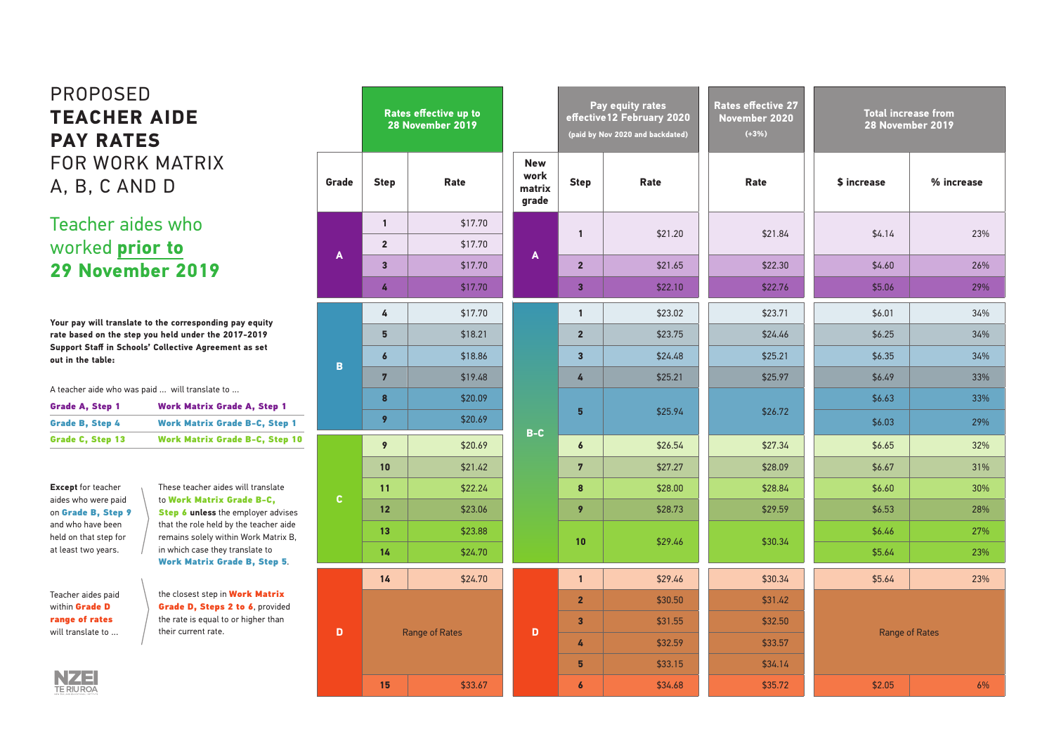|       | Rates effective up to<br>28 November 2019 |                                  |                                          |
|-------|-------------------------------------------|----------------------------------|------------------------------------------|
| Grade | <b>Step</b>                               | <b>Rate</b>                      | N <sub>t</sub><br><b>WC</b><br>ma<br>gra |
|       | 1                                         | \$17.70                          |                                          |
| A     | $\overline{2}$                            | \$17.70                          |                                          |
|       | 3                                         | \$17.70                          | J                                        |
|       | 4                                         | \$17.70                          |                                          |
|       | 4                                         | \$17.70                          |                                          |
|       | 5                                         | \$18.21                          |                                          |
|       | $\boldsymbol{6}$                          | \$18.86                          |                                          |
| B     | 7                                         | \$19.48                          |                                          |
|       | 8                                         | \$20.09                          |                                          |
|       | 9                                         | \$20.69                          |                                          |
|       | 9                                         | \$20.69                          | B.                                       |
|       | 10                                        | \$21.42                          |                                          |
|       | 11                                        | \$22.24                          |                                          |
| C     | 12                                        | \$23.06                          |                                          |
|       | 13                                        | \$23.88                          |                                          |
|       | 14                                        | \$24.70                          |                                          |
|       | 14                                        | \$24.70                          |                                          |
| D     | 15                                        | <b>Range of Rates</b><br>\$33.67 | I                                        |
|       |                                           |                                  |                                          |

|                         | Rates effective up to<br>28 November 2019 |                                       | Pay equity rates<br>effective 12 February 2020<br>(paid by Nov 2020 and backdated) |         | <b>Rates effective 27</b><br>November 2020<br>$(+3%)$ | <b>Total increase from</b><br>28 November 2019 |            |     |
|-------------------------|-------------------------------------------|---------------------------------------|------------------------------------------------------------------------------------|---------|-------------------------------------------------------|------------------------------------------------|------------|-----|
| itep                    | Rate                                      | <b>New</b><br>work<br>matrix<br>grade | <b>Step</b>                                                                        | Rate    | Rate                                                  | \$ increase                                    | % increase |     |
| $\mathbf{1}$            | \$17.70                                   |                                       | $\mathbf{1}$                                                                       | \$21.20 | \$21.84                                               | \$4.14                                         | 23%        |     |
| $\overline{2}$          | \$17.70                                   | $\boldsymbol{\mathsf{A}}$             |                                                                                    |         |                                                       |                                                |            |     |
| $\overline{\mathbf{3}}$ | \$17.70                                   |                                       | $\overline{2}$                                                                     | \$21.65 | \$22.30                                               | \$4.60                                         | 26%        |     |
| 4                       | \$17.70                                   |                                       | $\overline{\mathbf{3}}$                                                            | \$22.10 | \$22.76                                               | \$5.06                                         | 29%        |     |
| 4                       | \$17.70                                   |                                       | $\mathbf{1}$                                                                       | \$23.02 | \$23.71                                               | \$6.01                                         | 34%        |     |
| 5                       | \$18.21                                   |                                       | $\overline{2}$                                                                     | \$23.75 | \$24.46                                               | \$6.25                                         | 34%        |     |
| $\boldsymbol{6}$        | \$18.86                                   |                                       | $\overline{\mathbf{3}}$                                                            | \$24.48 | \$25.21                                               | \$6.35                                         | 34%        |     |
| $\overline{7}$          | \$19.48                                   |                                       | 4                                                                                  | \$25.21 | \$25.97                                               | \$6.49                                         | 33%        |     |
| 8                       | \$20.09                                   |                                       |                                                                                    |         |                                                       | \$6.63                                         | 33%        |     |
| 9                       | \$20.69                                   | $B-C$                                 |                                                                                    | 5       | \$25.94                                               | \$26.72                                        | \$6.03     | 29% |
| 9                       | \$20.69                                   |                                       | $\boldsymbol{6}$                                                                   | \$26.54 | \$27.34                                               | \$6.65                                         | 32%        |     |
| 10                      | \$21.42                                   |                                       | $\overline{7}$                                                                     | \$27.27 | \$28.09                                               | \$6.67                                         | 31%        |     |
| 11                      | \$22.24                                   |                                       | 8                                                                                  | \$28.00 | \$28.84                                               | \$6.60                                         | 30%        |     |
| 12                      | \$23.06                                   |                                       | 9                                                                                  | \$28.73 | \$29.59                                               | \$6.53                                         | 28%        |     |
| 13                      | \$23.88                                   |                                       |                                                                                    |         |                                                       | \$6.46                                         | 27%        |     |
| 14                      | \$24.70                                   |                                       | 10                                                                                 | \$29.46 | \$30.34                                               | \$5.64                                         | 23%        |     |
| 14                      | \$24.70                                   |                                       | $\mathbf{1}$                                                                       | \$29.46 | \$30.34                                               | \$5.64                                         | 23%        |     |
| Range of Rates          |                                           |                                       | $\overline{2}$                                                                     | \$30.50 | \$31.42                                               |                                                |            |     |
|                         |                                           |                                       | $\overline{\mathbf{3}}$                                                            | \$31.55 | \$32.50                                               | Range of Rates                                 |            |     |
|                         |                                           | D                                     | 4                                                                                  | \$32.59 | \$33.57                                               |                                                |            |     |
|                         |                                           |                                       | 5                                                                                  | \$33.15 | \$34.14                                               |                                                |            |     |
| 15                      | \$33.67                                   |                                       | $\boldsymbol{6}$                                                                   | \$34.68 | \$35.72                                               | \$2.05                                         | $6\%$      |     |



| <b>Total increase from</b><br>28 November 2019 |            |  |  |  |  |
|------------------------------------------------|------------|--|--|--|--|
| \$ increase                                    | % increase |  |  |  |  |
| \$4.14                                         | 23%        |  |  |  |  |
| \$4.60                                         | 26%        |  |  |  |  |
| \$5.06                                         | 29%        |  |  |  |  |
| \$6.01                                         | 34%        |  |  |  |  |
| \$6.25                                         | 34%        |  |  |  |  |
| \$6.35                                         | 34%        |  |  |  |  |
| \$6.49                                         | 33%        |  |  |  |  |
| \$6.63                                         | 33%        |  |  |  |  |
| \$6.03                                         | 29%        |  |  |  |  |
| \$6.65                                         | 32%        |  |  |  |  |
| \$6.67                                         | 31%        |  |  |  |  |
| \$6.60                                         | 30%        |  |  |  |  |
| \$6.53                                         | 28%        |  |  |  |  |
| \$6.46                                         | 27%        |  |  |  |  |
| \$5.64                                         | 23%        |  |  |  |  |
| \$5.64                                         | 23%        |  |  |  |  |
| <b>Range of Rates</b>                          |            |  |  |  |  |
| \$2.05                                         | 6%         |  |  |  |  |

the closest step in Work Matrix Grade D, Steps 2 to 6, provided the rate is equal to or higher than their current rate.

## PROPOSED **TEACHER AIDE PAY RATES** FOR WORK MATRIX A, B, C AND D

## Teacher aides who worked **prior to 29 November 2019**

**Your pay will translate to the corresponding pay equity rate based on the step you held under the 2017-2019 Support Staff in Schools' Collective Agreement as set out in the table:**

**Except** for teacher aides who were paid on Grade B, Step 9 and who have been held on that step for at least two years.

Teacher aides paid within **Grade D** range of rates will translate to …

These teacher aides will translate to Work Matrix Grade B-C, **Step 6 unless** the employer advises that the role held by the teacher aide remains solely within Work Matrix B, in which case they translate to Work Matrix Grade B, Step 5.

A teacher aide who was paid … will translate to …

| <b>Grade A, Step 1</b>  | <b>Work Matrix Grade A, Step 1</b>    |
|-------------------------|---------------------------------------|
| <b>Grade B, Step 4</b>  | <b>Work Matrix Grade B-C, Step 1</b>  |
| <b>Grade C, Step 13</b> | <b>Work Matrix Grade B-C, Step 10</b> |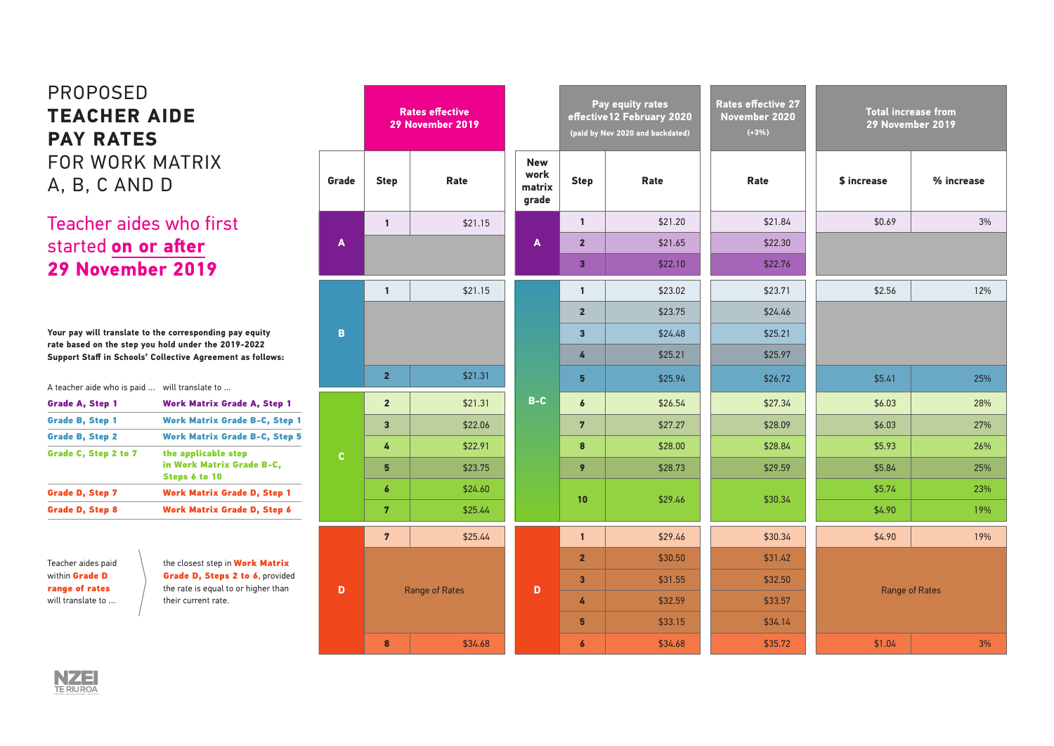| Total increase from |  |
|---------------------|--|
| 29 November 2019    |  |

| \$ increase | % increase |  |  |
|-------------|------------|--|--|
| \$0.69      | 3%         |  |  |
|             |            |  |  |

|                  |                         | <b>Rates effective</b><br>29 November 2019 |                                       |                         | Pay equity rates<br>effective 12 February 2020<br>(paid by Nov 2020 and backdated) | <b>Rates effective 27</b><br>November 2020<br>$(+3%)$ |                | <b>Total increase from</b><br>29 November 2019 |
|------------------|-------------------------|--------------------------------------------|---------------------------------------|-------------------------|------------------------------------------------------------------------------------|-------------------------------------------------------|----------------|------------------------------------------------|
| Grade            | <b>Step</b>             | Rate                                       | <b>New</b><br>work<br>matrix<br>grade | <b>Step</b>             | Rate                                                                               | Rate                                                  | \$ increase    | % increase                                     |
|                  | $\mathbf{1}$            | \$21.15                                    |                                       | $\mathbf{1}$            | \$21.20                                                                            | \$21.84                                               | \$0.69         | 3%                                             |
| $\blacktriangle$ |                         |                                            | $\mathbf{A}$                          | $\overline{2}$          | \$21.65                                                                            | \$22.30                                               |                |                                                |
|                  |                         |                                            |                                       | $\overline{\mathbf{3}}$ | \$22.10                                                                            | \$22.76                                               |                |                                                |
|                  | $\mathbf{1}$            | \$21.15                                    |                                       | $\mathbf{1}$            | \$23.02                                                                            | \$23.71                                               | \$2.56         | 12%                                            |
|                  |                         |                                            |                                       | $\overline{2}$          | \$23.75                                                                            | \$24.46                                               |                |                                                |
| $\mathbf{B}$     |                         |                                            |                                       | $\overline{\mathbf{3}}$ | \$24.48                                                                            | \$25.21                                               |                |                                                |
|                  |                         |                                            |                                       | 4                       | \$25.21                                                                            | \$25.97                                               |                |                                                |
|                  | $\overline{2}$          | \$21.31                                    |                                       | $5\phantom{a}$          | \$25.94                                                                            | \$26.72                                               | \$5.41         | 25%                                            |
|                  | $\overline{2}$          | \$21.31                                    | $B-C$                                 | $\boldsymbol{6}$        | \$26.54                                                                            | \$27.34                                               | \$6.03         | 28%                                            |
|                  | $\overline{\mathbf{3}}$ | \$22.06                                    |                                       | $\overline{7}$          | \$27.27                                                                            | \$28.09                                               | \$6.03         | 27%                                            |
| $\mathbf c$      | 4                       | \$22.91                                    |                                       | $\boldsymbol{8}$        | \$28.00                                                                            | \$28.84                                               | \$5.93         | 26%                                            |
|                  | $5\phantom{1}$          | \$23.75                                    |                                       | 9                       | \$28.73                                                                            | \$29.59                                               | \$5.84         | 25%                                            |
|                  | $\boldsymbol{6}$        | \$24.60                                    |                                       | 10                      | \$29.46                                                                            | \$30.34                                               | \$5.74         | 23%                                            |
|                  | $\overline{7}$          | \$25.44                                    |                                       |                         |                                                                                    |                                                       | \$4.90         | 19%                                            |
|                  | $\overline{7}$          | \$25.44                                    |                                       | $\mathbf{1}$            | \$29.46                                                                            | \$30.34                                               | \$4.90         | 19%                                            |
|                  |                         |                                            |                                       | $\overline{2}$          | \$30.50                                                                            | \$31.42                                               |                |                                                |
|                  | Range of Rates          |                                            | D                                     | $\overline{\mathbf{3}}$ | \$31.55                                                                            | \$32.50                                               |                |                                                |
| $\mathbf D$      |                         |                                            |                                       | 4                       | \$32.59                                                                            | \$33.57                                               | Range of Rates |                                                |
|                  |                         |                                            |                                       | $\overline{\mathbf{5}}$ | \$33.15                                                                            | \$34.14                                               |                |                                                |
|                  | $\bullet$               | \$34.68                                    |                                       | $\boldsymbol{6}$        | \$34.68                                                                            | \$35.72                                               | \$1.04         | 3%                                             |



| \$2.56                | 12% |  |  |  |  |  |
|-----------------------|-----|--|--|--|--|--|
|                       |     |  |  |  |  |  |
|                       |     |  |  |  |  |  |
|                       |     |  |  |  |  |  |
| \$5.41                | 25% |  |  |  |  |  |
| \$6.03                | 28% |  |  |  |  |  |
| \$6.03                | 27% |  |  |  |  |  |
| \$5.93                | 26% |  |  |  |  |  |
| \$5.84                | 25% |  |  |  |  |  |
| \$5.74                | 23% |  |  |  |  |  |
| \$4.90                | 19% |  |  |  |  |  |
| \$4.90                | 19% |  |  |  |  |  |
|                       |     |  |  |  |  |  |
| <b>Range of Rates</b> |     |  |  |  |  |  |
|                       |     |  |  |  |  |  |
|                       |     |  |  |  |  |  |
| \$1.04                | 3%  |  |  |  |  |  |

the closest step in Work Matrix Grade D, Steps 2 to 6, provided the rate is equal to or higher than their current rate.

## PROPOSED **TEACHER AIDE PAY RATES** FOR WORK MATRIX A, B, C AND D

## Teacher aides who first started **on or after 29 November 2019**

**Your pay will translate to the corresponding pay equity rate based on the step you hold under the 2019-2022 Support Staff in Schools' Collective Agreement as follows:**

A teacher aide who is paid … will translate to …

| <b>Work Matrix Grade A, Step 1</b>                                |  |  |
|-------------------------------------------------------------------|--|--|
| <b>Work Matrix Grade B-C, Step 1</b>                              |  |  |
| <b>Work Matrix Grade B-C, Step 5</b>                              |  |  |
| the applicable step<br>in Work Matrix Grade B-C,<br>Steps 6 to 10 |  |  |
| <b>Work Matrix Grade D, Step 1</b>                                |  |  |
| <b>Work Matrix Grade D, Step 6</b>                                |  |  |
|                                                                   |  |  |

Teacher aides paid within Grade D range of rates will translate to …